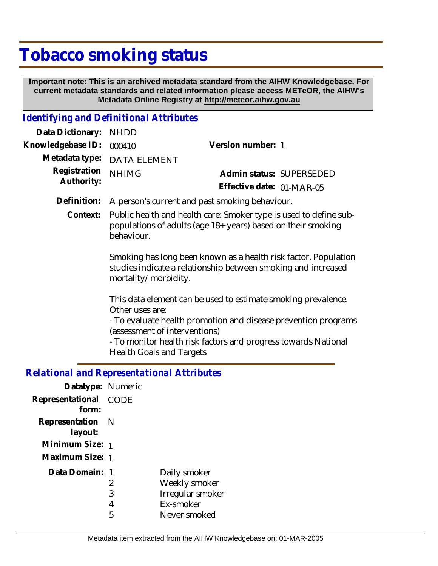## **Tobacco smoking status**

 **Important note: This is an archived metadata standard from the AIHW Knowledgebase. For current metadata standards and related information please access METeOR, the AIHW's Metadata Online Registry at http://meteor.aihw.gov.au**

## *Identifying and Definitional Attributes*

| Data Dictionary:                           | <b>NHDD</b>                                                                                                                                                                                                                                                                              |                           |  |
|--------------------------------------------|------------------------------------------------------------------------------------------------------------------------------------------------------------------------------------------------------------------------------------------------------------------------------------------|---------------------------|--|
| Knowledgebase ID:                          | 000410                                                                                                                                                                                                                                                                                   | Version number: 1         |  |
| Metadata type:                             | <b>DATA ELEMENT</b>                                                                                                                                                                                                                                                                      |                           |  |
| Registration<br>Authority:                 | <b>NHIMG</b>                                                                                                                                                                                                                                                                             | Admin status: SUPERSEDED  |  |
|                                            |                                                                                                                                                                                                                                                                                          | Effective date: 01-MAR-05 |  |
| Definition:                                | A person's current and past smoking behaviour.                                                                                                                                                                                                                                           |                           |  |
| Context:                                   | Public health and health care: Smoker type is used to define sub-<br>populations of adults (age 18+ years) based on their smoking<br>behaviour.                                                                                                                                          |                           |  |
|                                            | Smoking has long been known as a health risk factor. Population<br>studies indicate a relationship between smoking and increased<br>mortality/morbidity.                                                                                                                                 |                           |  |
|                                            | This data element can be used to estimate smoking prevalence.<br>Other uses are:<br>- To evaluate health promotion and disease prevention programs<br>(assessment of interventions)<br>- To monitor health risk factors and progress towards National<br><b>Health Goals and Targets</b> |                           |  |
| Delational and Depresentational Attributes |                                                                                                                                                                                                                                                                                          |                           |  |

## *Relational and Representational Attributes*

| Datatype: Numeric           |                  |                                                                                |
|-----------------------------|------------------|--------------------------------------------------------------------------------|
| Representational<br>form:   | CODE             |                                                                                |
| Representation N<br>layout: |                  |                                                                                |
| Minimum Size: 1             |                  |                                                                                |
| Maximum Size: 1             |                  |                                                                                |
| Data Domain: 1              | 2<br>3<br>4<br>5 | Daily smoker<br>Weekly smoker<br>Irregular smoker<br>Ex-smoker<br>Never smoked |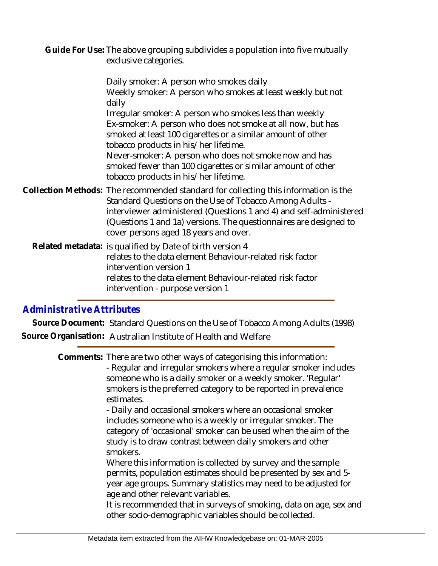Guide For Use: The above grouping subdivides a population into five mutually exclusive categories.

Daily smoker: A person who smokes daily Weekly smoker: A person who smokes at least weekly but not daily Irregular smoker: A person who smokes less than weekly Ex-smoker: A person who does not smoke at all now, but has smoked at least 100 cigarettes or a similar amount of other tobacco products in his/her lifetime. Never-smoker: A person who does not smoke now and has smoked fewer than 100 cigarettes or similar amount of other tobacco products in his/her lifetime. Collection Methods: The recommended standard for collecting this information is the Standard Questions on the Use of Tobacco Among Adults interviewer administered (Questions 1 and 4) and self-administered (Questions 1 and 1a) versions. The questionnaires are designed to

Related metadata: is qualified by Date of birth version 4 relates to the data element Behaviour-related risk factor intervention version 1 relates to the data element Behaviour-related risk factor intervention - purpose version 1

cover persons aged 18 years and over.

## *Administrative Attributes*

**Source Document:** Standard Questions on the Use of Tobacco Among Adults (1998) **Source Organisation:** Australian Institute of Health and Welfare

> Comments: There are two other ways of categorising this information: - Regular and irregular smokers where a regular smoker includes someone who is a daily smoker or a weekly smoker. 'Regular' smokers is the preferred category to be reported in prevalence estimates.

> > - Daily and occasional smokers where an occasional smoker includes someone who is a weekly or irregular smoker. The category of 'occasional' smoker can be used when the aim of the study is to draw contrast between daily smokers and other smokers.

Where this information is collected by survey and the sample permits, population estimates should be presented by sex and 5 year age groups. Summary statistics may need to be adjusted for age and other relevant variables.

It is recommended that in surveys of smoking, data on age, sex and other socio-demographic variables should be collected.